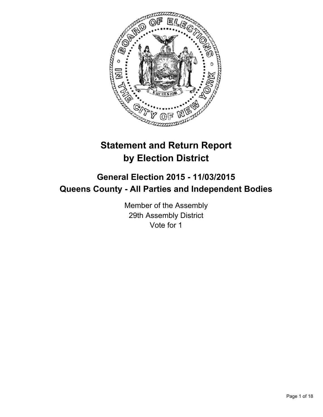

# **Statement and Return Report by Election District**

## **General Election 2015 - 11/03/2015 Queens County - All Parties and Independent Bodies**

Member of the Assembly 29th Assembly District Vote for 1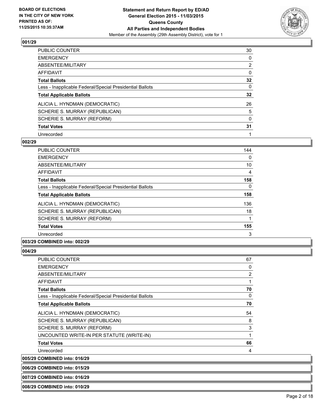

| <b>PUBLIC COUNTER</b>                                    | 30             |
|----------------------------------------------------------|----------------|
| <b>EMERGENCY</b>                                         | 0              |
| ABSENTEE/MILITARY                                        | $\overline{2}$ |
| <b>AFFIDAVIT</b>                                         | 0              |
| <b>Total Ballots</b>                                     | 32             |
| Less - Inapplicable Federal/Special Presidential Ballots | 0              |
| <b>Total Applicable Ballots</b>                          | 32             |
| ALICIA L. HYNDMAN (DEMOCRATIC)                           | 26             |
| SCHERIE S. MURRAY (REPUBLICAN)                           | 5              |
| SCHERIE S. MURRAY (REFORM)                               | 0              |
| <b>Total Votes</b>                                       | 31             |
| Unrecorded                                               |                |

#### **002/29**

| <b>PUBLIC COUNTER</b>                                    | 144 |
|----------------------------------------------------------|-----|
| <b>EMERGENCY</b>                                         | 0   |
| ABSENTEE/MILITARY                                        | 10  |
| <b>AFFIDAVIT</b>                                         | 4   |
| <b>Total Ballots</b>                                     | 158 |
| Less - Inapplicable Federal/Special Presidential Ballots | 0   |
| <b>Total Applicable Ballots</b>                          | 158 |
| ALICIA L. HYNDMAN (DEMOCRATIC)                           | 136 |
| SCHERIE S. MURRAY (REPUBLICAN)                           | 18  |
| SCHERIE S. MURRAY (REFORM)                               |     |
| <b>Total Votes</b>                                       | 155 |
| Unrecorded                                               | 3   |
|                                                          |     |

## **003/29 COMBINED into: 002/29**

#### **004/29**

| <b>PUBLIC COUNTER</b>                                    | 67 |
|----------------------------------------------------------|----|
| <b>EMERGENCY</b>                                         | 0  |
| ABSENTEE/MILITARY                                        | 2  |
| <b>AFFIDAVIT</b>                                         |    |
| <b>Total Ballots</b>                                     | 70 |
| Less - Inapplicable Federal/Special Presidential Ballots | 0  |
| <b>Total Applicable Ballots</b>                          | 70 |
| ALICIA L. HYNDMAN (DEMOCRATIC)                           | 54 |
| SCHERIE S. MURRAY (REPUBLICAN)                           | 8  |
| SCHERIE S. MURRAY (REFORM)                               | 3  |
| UNCOUNTED WRITE-IN PER STATUTE (WRITE-IN)                | 1  |
| <b>Total Votes</b>                                       | 66 |
| Unrecorded                                               | 4  |
| 005/29 COMBINED into: 016/29                             |    |

**006/29 COMBINED into: 015/29**

**007/29 COMBINED into: 016/29**

**008/29 COMBINED into: 010/29**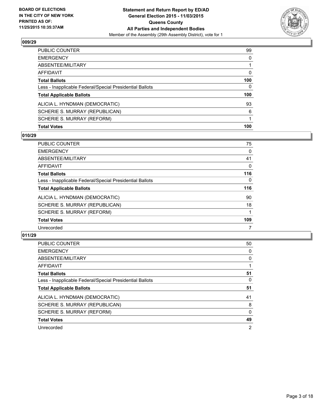

| <b>Total Votes</b>                                       | 100          |
|----------------------------------------------------------|--------------|
| SCHERIE S. MURRAY (REFORM)                               |              |
| SCHERIE S. MURRAY (REPUBLICAN)                           | 6            |
| ALICIA L. HYNDMAN (DEMOCRATIC)                           | 93           |
| <b>Total Applicable Ballots</b>                          | 100          |
| Less - Inapplicable Federal/Special Presidential Ballots | 0            |
| <b>Total Ballots</b>                                     | 100          |
| <b>AFFIDAVIT</b>                                         | $\mathbf{0}$ |
| ABSENTEE/MILITARY                                        |              |
| <b>EMERGENCY</b>                                         | $\Omega$     |
| PUBLIC COUNTER                                           | 99           |

## **010/29**

| 75  |
|-----|
| 0   |
| 41  |
| 0   |
| 116 |
| 0   |
| 116 |
| 90  |
| 18  |
|     |
| 109 |
| 7   |
|     |

| <b>PUBLIC COUNTER</b>                                    | 50             |
|----------------------------------------------------------|----------------|
| <b>EMERGENCY</b>                                         | 0              |
| ABSENTEE/MILITARY                                        | 0              |
| <b>AFFIDAVIT</b>                                         |                |
| <b>Total Ballots</b>                                     | 51             |
| Less - Inapplicable Federal/Special Presidential Ballots | 0              |
| <b>Total Applicable Ballots</b>                          | 51             |
| ALICIA L. HYNDMAN (DEMOCRATIC)                           | 41             |
| SCHERIE S. MURRAY (REPUBLICAN)                           | 8              |
| SCHERIE S. MURRAY (REFORM)                               | 0              |
| <b>Total Votes</b>                                       | 49             |
| Unrecorded                                               | $\overline{2}$ |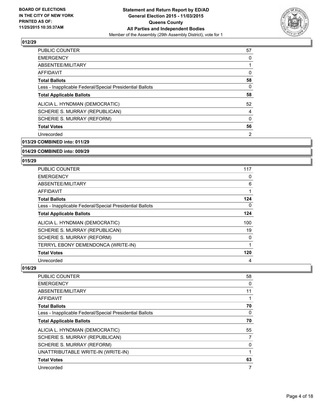

| <b>PUBLIC COUNTER</b>                                    | 57 |
|----------------------------------------------------------|----|
| <b>EMERGENCY</b>                                         | 0  |
| ABSENTEE/MILITARY                                        |    |
| <b>AFFIDAVIT</b>                                         | 0  |
| <b>Total Ballots</b>                                     | 58 |
| Less - Inapplicable Federal/Special Presidential Ballots | 0  |
| <b>Total Applicable Ballots</b>                          | 58 |
| ALICIA L. HYNDMAN (DEMOCRATIC)                           | 52 |
| SCHERIE S. MURRAY (REPUBLICAN)                           | 4  |
| SCHERIE S. MURRAY (REFORM)                               | 0  |
| <b>Total Votes</b>                                       | 56 |
| Unrecorded                                               | 2  |
|                                                          |    |

**013/29 COMBINED into: 011/29**

#### **014/29 COMBINED into: 009/29**

#### **015/29**

| <b>PUBLIC COUNTER</b>                                    | 117 |
|----------------------------------------------------------|-----|
| <b>EMERGENCY</b>                                         | 0   |
| ABSENTEE/MILITARY                                        | 6   |
| <b>AFFIDAVIT</b>                                         |     |
| <b>Total Ballots</b>                                     | 124 |
| Less - Inapplicable Federal/Special Presidential Ballots | 0   |
| <b>Total Applicable Ballots</b>                          | 124 |
| ALICIA L. HYNDMAN (DEMOCRATIC)                           | 100 |
| SCHERIE S. MURRAY (REPUBLICAN)                           | 19  |
| SCHERIE S. MURRAY (REFORM)                               | 0   |
| TERRYL EBONY DEMENDONCA (WRITE-IN)                       | 1   |
| <b>Total Votes</b>                                       | 120 |
| Unrecorded                                               | 4   |

| PUBLIC COUNTER                                           | 58 |
|----------------------------------------------------------|----|
| <b>EMERGENCY</b>                                         | 0  |
| ABSENTEE/MILITARY                                        | 11 |
| AFFIDAVIT                                                |    |
| <b>Total Ballots</b>                                     | 70 |
| Less - Inapplicable Federal/Special Presidential Ballots | 0  |
| <b>Total Applicable Ballots</b>                          | 70 |
| ALICIA L. HYNDMAN (DEMOCRATIC)                           | 55 |
| SCHERIE S. MURRAY (REPUBLICAN)                           | 7  |
| SCHERIE S. MURRAY (REFORM)                               | 0  |
| UNATTRIBUTABLE WRITE-IN (WRITE-IN)                       |    |
| <b>Total Votes</b>                                       | 63 |
| Unrecorded                                               | 7  |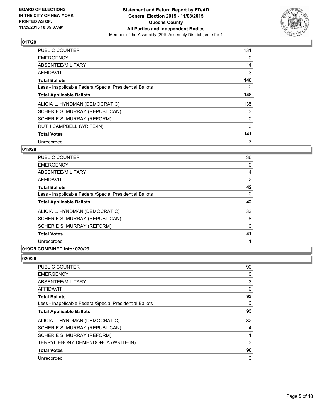

| <b>PUBLIC COUNTER</b>                                    | 131 |
|----------------------------------------------------------|-----|
| <b>EMERGENCY</b>                                         | 0   |
| ABSENTEE/MILITARY                                        | 14  |
| <b>AFFIDAVIT</b>                                         | 3   |
| <b>Total Ballots</b>                                     | 148 |
| Less - Inapplicable Federal/Special Presidential Ballots | 0   |
| <b>Total Applicable Ballots</b>                          | 148 |
| ALICIA L. HYNDMAN (DEMOCRATIC)                           | 135 |
| SCHERIE S. MURRAY (REPUBLICAN)                           | 3   |
| SCHERIE S. MURRAY (REFORM)                               | 0   |
| RUTH CAMPBELL (WRITE-IN)                                 | 3   |
| <b>Total Votes</b>                                       | 141 |
| Unrecorded                                               | 7   |

## **018/29**

| <b>PUBLIC COUNTER</b>                                    | 36 |
|----------------------------------------------------------|----|
| <b>EMERGENCY</b>                                         | 0  |
| ABSENTEE/MILITARY                                        | 4  |
| <b>AFFIDAVIT</b>                                         | 2  |
| <b>Total Ballots</b>                                     | 42 |
| Less - Inapplicable Federal/Special Presidential Ballots | 0  |
| <b>Total Applicable Ballots</b>                          | 42 |
| ALICIA L. HYNDMAN (DEMOCRATIC)                           | 33 |
| SCHERIE S. MURRAY (REPUBLICAN)                           | 8  |
| SCHERIE S. MURRAY (REFORM)                               | 0  |
| <b>Total Votes</b>                                       | 41 |
| Unrecorded                                               |    |

## **019/29 COMBINED into: 020/29**

| PUBLIC COUNTER                                           | 90       |
|----------------------------------------------------------|----------|
| <b>EMERGENCY</b>                                         | 0        |
| ABSENTEE/MILITARY                                        | 3        |
| AFFIDAVIT                                                | 0        |
| <b>Total Ballots</b>                                     | 93       |
| Less - Inapplicable Federal/Special Presidential Ballots | $\Omega$ |
| <b>Total Applicable Ballots</b>                          | 93       |
| ALICIA L. HYNDMAN (DEMOCRATIC)                           | 82       |
| SCHERIE S. MURRAY (REPUBLICAN)                           | 4        |
| SCHERIE S. MURRAY (REFORM)                               | 1        |
| TERRYL EBONY DEMENDONCA (WRITE-IN)                       | 3        |
| <b>Total Votes</b>                                       | 90       |
| Unrecorded                                               | 3        |
|                                                          |          |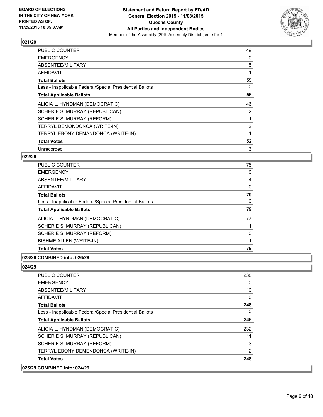

| <b>PUBLIC COUNTER</b>                                    | 49             |
|----------------------------------------------------------|----------------|
| <b>EMERGENCY</b>                                         | 0              |
| ABSENTEE/MILITARY                                        | 5              |
| AFFIDAVIT                                                |                |
| <b>Total Ballots</b>                                     | 55             |
| Less - Inapplicable Federal/Special Presidential Ballots | 0              |
| <b>Total Applicable Ballots</b>                          | 55             |
| ALICIA L. HYNDMAN (DEMOCRATIC)                           | 46             |
| SCHERIE S. MURRAY (REPUBLICAN)                           | $\overline{2}$ |
| SCHERIE S. MURRAY (REFORM)                               |                |
| TERRYL DEMONDONCA (WRITE-IN)                             | $\overline{2}$ |
| TERRYL EBONY DEMANDONCA (WRITE-IN)                       |                |
| <b>Total Votes</b>                                       | 52             |
| Unrecorded                                               | 3              |

## **022/29**

| PUBLIC COUNTER                                           | 75       |
|----------------------------------------------------------|----------|
| <b>EMERGENCY</b>                                         | 0        |
| ABSENTEE/MILITARY                                        | 4        |
| <b>AFFIDAVIT</b>                                         | 0        |
| <b>Total Ballots</b>                                     | 79       |
| Less - Inapplicable Federal/Special Presidential Ballots | $\Omega$ |
| <b>Total Applicable Ballots</b>                          | 79       |
| ALICIA L. HYNDMAN (DEMOCRATIC)                           | 77       |
| SCHERIE S. MURRAY (REPUBLICAN)                           |          |
| SCHERIE S. MURRAY (REFORM)                               | 0        |
| <b>BISHME ALLEN (WRITE-IN)</b>                           |          |
| <b>Total Votes</b>                                       | 79       |

#### **023/29 COMBINED into: 026/29**

| 025/29 COMBINED into: 024/29                             |     |
|----------------------------------------------------------|-----|
| <b>Total Votes</b>                                       | 248 |
| TERRYL EBONY DEMENDONCA (WRITE-IN)                       | 2   |
| SCHERIE S. MURRAY (REFORM)                               | 3   |
| SCHERIE S. MURRAY (REPUBLICAN)                           | 11  |
| ALICIA L. HYNDMAN (DEMOCRATIC)                           | 232 |
| <b>Total Applicable Ballots</b>                          | 248 |
| Less - Inapplicable Federal/Special Presidential Ballots | 0   |
| <b>Total Ballots</b>                                     | 248 |
| AFFIDAVIT                                                | 0   |
| ABSENTEE/MILITARY                                        | 10  |
| <b>EMERGENCY</b>                                         | 0   |
| <b>PUBLIC COUNTER</b>                                    | 238 |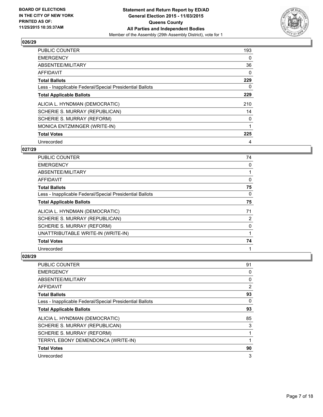

| <b>PUBLIC COUNTER</b>                                    | 193 |
|----------------------------------------------------------|-----|
| <b>EMERGENCY</b>                                         | 0   |
| ABSENTEE/MILITARY                                        | 36  |
| AFFIDAVIT                                                | 0   |
| <b>Total Ballots</b>                                     | 229 |
| Less - Inapplicable Federal/Special Presidential Ballots | 0   |
| <b>Total Applicable Ballots</b>                          | 229 |
| ALICIA L. HYNDMAN (DEMOCRATIC)                           | 210 |
| SCHERIE S. MURRAY (REPUBLICAN)                           | 14  |
| SCHERIE S. MURRAY (REFORM)                               | 0   |
| MONICA ENTZMINGER (WRITE-IN)                             |     |
| <b>Total Votes</b>                                       | 225 |
| Unrecorded                                               | 4   |

## **027/29**

| PUBLIC COUNTER                                           | 74 |
|----------------------------------------------------------|----|
| <b>EMERGENCY</b>                                         | 0  |
| ABSENTEE/MILITARY                                        |    |
| <b>AFFIDAVIT</b>                                         | 0  |
| <b>Total Ballots</b>                                     | 75 |
| Less - Inapplicable Federal/Special Presidential Ballots | 0  |
| <b>Total Applicable Ballots</b>                          | 75 |
| ALICIA L. HYNDMAN (DEMOCRATIC)                           | 71 |
| SCHERIE S. MURRAY (REPUBLICAN)                           | 2  |
| SCHERIE S. MURRAY (REFORM)                               | 0  |
| UNATTRIBUTABLE WRITE-IN (WRITE-IN)                       |    |
| <b>Total Votes</b>                                       | 74 |
| Unrecorded                                               | 1  |

| <b>PUBLIC COUNTER</b>                                    | 91 |
|----------------------------------------------------------|----|
| <b>EMERGENCY</b>                                         | 0  |
| ABSENTEE/MILITARY                                        | 0  |
| AFFIDAVIT                                                | 2  |
| <b>Total Ballots</b>                                     | 93 |
| Less - Inapplicable Federal/Special Presidential Ballots | 0  |
| <b>Total Applicable Ballots</b>                          | 93 |
| ALICIA L. HYNDMAN (DEMOCRATIC)                           | 85 |
| SCHERIE S. MURRAY (REPUBLICAN)                           | 3  |
| SCHERIE S. MURRAY (REFORM)                               |    |
| TERRYL EBONY DEMENDONCA (WRITE-IN)                       | 1  |
| <b>Total Votes</b>                                       | 90 |
| Unrecorded                                               | 3  |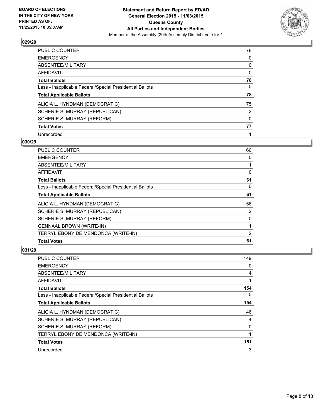

| <b>PUBLIC COUNTER</b>                                    | 78             |
|----------------------------------------------------------|----------------|
| <b>EMERGENCY</b>                                         | 0              |
| ABSENTEE/MILITARY                                        | 0              |
| <b>AFFIDAVIT</b>                                         | 0              |
| <b>Total Ballots</b>                                     | 78             |
| Less - Inapplicable Federal/Special Presidential Ballots | 0              |
| <b>Total Applicable Ballots</b>                          | 78             |
| ALICIA L. HYNDMAN (DEMOCRATIC)                           | 75             |
| SCHERIE S. MURRAY (REPUBLICAN)                           | $\overline{2}$ |
| SCHERIE S. MURRAY (REFORM)                               | 0              |
| <b>Total Votes</b>                                       | 77             |
| Unrecorded                                               |                |

#### **030/29**

| <b>Total Votes</b>                                       | 61       |
|----------------------------------------------------------|----------|
| TERRYL EBONY DE MENDONCA (WRITE-IN)                      | 2        |
| <b>GENNAAL BROWN (WRITE-IN)</b>                          |          |
| SCHERIE S. MURRAY (REFORM)                               | 0        |
| SCHERIE S. MURRAY (REPUBLICAN)                           | 2        |
| ALICIA L. HYNDMAN (DEMOCRATIC)                           | 56       |
| <b>Total Applicable Ballots</b>                          | 61       |
| Less - Inapplicable Federal/Special Presidential Ballots | $\Omega$ |
| <b>Total Ballots</b>                                     | 61       |
| <b>AFFIDAVIT</b>                                         | 0        |
| ABSENTEE/MILITARY                                        |          |
| <b>EMERGENCY</b>                                         | 0        |
| PUBLIC COUNTER                                           | 60       |

| PUBLIC COUNTER                                           | 149 |
|----------------------------------------------------------|-----|
| <b>EMERGENCY</b>                                         | 0   |
| ABSENTEE/MILITARY                                        | 4   |
| AFFIDAVIT                                                |     |
| <b>Total Ballots</b>                                     | 154 |
| Less - Inapplicable Federal/Special Presidential Ballots | 0   |
| <b>Total Applicable Ballots</b>                          | 154 |
| ALICIA L. HYNDMAN (DEMOCRATIC)                           | 146 |
| SCHERIE S. MURRAY (REPUBLICAN)                           | 4   |
| SCHERIE S. MURRAY (REFORM)                               | 0   |
| TERRYL EBONY DE MENDONCA (WRITE-IN)                      | 1   |
| <b>Total Votes</b>                                       | 151 |
| Unrecorded                                               | 3   |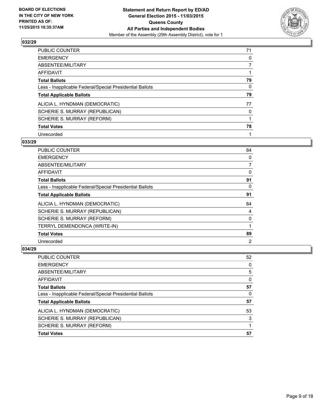

| <b>PUBLIC COUNTER</b>                                    | 71 |
|----------------------------------------------------------|----|
| <b>EMERGENCY</b>                                         | 0  |
| ABSENTEE/MILITARY                                        |    |
| <b>AFFIDAVIT</b>                                         |    |
| <b>Total Ballots</b>                                     | 79 |
| Less - Inapplicable Federal/Special Presidential Ballots | 0  |
| <b>Total Applicable Ballots</b>                          | 79 |
| ALICIA L. HYNDMAN (DEMOCRATIC)                           | 77 |
| SCHERIE S. MURRAY (REPUBLICAN)                           | 0  |
| SCHERIE S. MURRAY (REFORM)                               |    |
| <b>Total Votes</b>                                       | 78 |
| Unrecorded                                               |    |

#### **033/29**

| <b>PUBLIC COUNTER</b>                                    | 84             |
|----------------------------------------------------------|----------------|
| <b>EMERGENCY</b>                                         | 0              |
| ABSENTEE/MILITARY                                        | 7              |
| AFFIDAVIT                                                | 0              |
| <b>Total Ballots</b>                                     | 91             |
| Less - Inapplicable Federal/Special Presidential Ballots | 0              |
| <b>Total Applicable Ballots</b>                          | 91             |
| ALICIA L. HYNDMAN (DEMOCRATIC)                           | 84             |
| SCHERIE S. MURRAY (REPUBLICAN)                           | 4              |
| SCHERIE S. MURRAY (REFORM)                               | 0              |
| TERRYL DEMENDONCA (WRITE-IN)                             |                |
| <b>Total Votes</b>                                       | 89             |
| Unrecorded                                               | $\overline{2}$ |

| <b>PUBLIC COUNTER</b>                                    | 52 |
|----------------------------------------------------------|----|
| <b>EMERGENCY</b>                                         | 0  |
| ABSENTEE/MILITARY                                        | 5  |
| <b>AFFIDAVIT</b>                                         | 0  |
| <b>Total Ballots</b>                                     | 57 |
| Less - Inapplicable Federal/Special Presidential Ballots | 0  |
| <b>Total Applicable Ballots</b>                          | 57 |
| ALICIA L. HYNDMAN (DEMOCRATIC)                           | 53 |
| SCHERIE S. MURRAY (REPUBLICAN)                           | 3  |
| SCHERIE S. MURRAY (REFORM)                               |    |
| <b>Total Votes</b>                                       | 57 |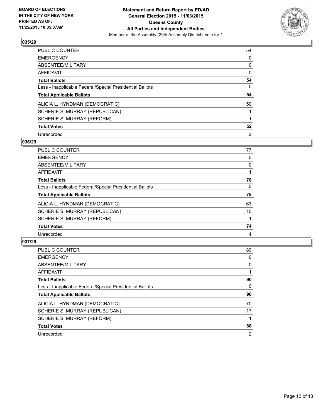

| PUBLIC COUNTER                                           | 54 |
|----------------------------------------------------------|----|
| <b>EMERGENCY</b>                                         | 0  |
| ABSENTEE/MILITARY                                        | 0  |
| <b>AFFIDAVIT</b>                                         | 0  |
| <b>Total Ballots</b>                                     | 54 |
| Less - Inapplicable Federal/Special Presidential Ballots | 0  |
| <b>Total Applicable Ballots</b>                          | 54 |
| ALICIA L. HYNDMAN (DEMOCRATIC)                           | 50 |
| SCHERIE S. MURRAY (REPUBLICAN)                           |    |
| SCHERIE S. MURRAY (REFORM)                               |    |
| <b>Total Votes</b>                                       | 52 |
| Unrecorded                                               | 2  |

#### **036/29**

| PUBLIC COUNTER                                           | 77 |
|----------------------------------------------------------|----|
| <b>EMERGENCY</b>                                         | 0  |
| ABSENTEE/MILITARY                                        | 0  |
| AFFIDAVIT                                                |    |
| <b>Total Ballots</b>                                     | 78 |
| Less - Inapplicable Federal/Special Presidential Ballots | 0  |
| <b>Total Applicable Ballots</b>                          | 78 |
| ALICIA L. HYNDMAN (DEMOCRATIC)                           | 63 |
| SCHERIE S. MURRAY (REPUBLICAN)                           | 10 |
| SCHERIE S. MURRAY (REFORM)                               |    |
| <b>Total Votes</b>                                       | 74 |
| Unrecorded                                               | 4  |
|                                                          |    |

| PUBLIC COUNTER                                           | 89             |
|----------------------------------------------------------|----------------|
| <b>EMERGENCY</b>                                         | 0              |
| ABSENTEE/MILITARY                                        | 0              |
| <b>AFFIDAVIT</b>                                         |                |
| <b>Total Ballots</b>                                     | 90             |
| Less - Inapplicable Federal/Special Presidential Ballots | 0              |
| <b>Total Applicable Ballots</b>                          | 90             |
| ALICIA L. HYNDMAN (DEMOCRATIC)                           | 70             |
| SCHERIE S. MURRAY (REPUBLICAN)                           | 17             |
| SCHERIE S. MURRAY (REFORM)                               |                |
| <b>Total Votes</b>                                       | 88             |
| Unrecorded                                               | $\overline{2}$ |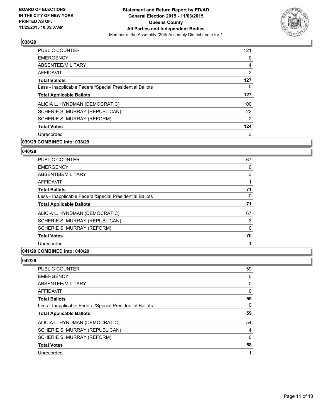

| <b>PUBLIC COUNTER</b>                                    | 121 |
|----------------------------------------------------------|-----|
| <b>EMERGENCY</b>                                         | 0   |
| ABSENTEE/MILITARY                                        | 4   |
| <b>AFFIDAVIT</b>                                         | 2   |
| <b>Total Ballots</b>                                     | 127 |
| Less - Inapplicable Federal/Special Presidential Ballots | 0   |
| <b>Total Applicable Ballots</b>                          | 127 |
| ALICIA L. HYNDMAN (DEMOCRATIC)                           | 100 |
| SCHERIE S. MURRAY (REPUBLICAN)                           | 22  |
| SCHERIE S. MURRAY (REFORM)                               | 2   |
| <b>Total Votes</b>                                       | 124 |
| Unrecorded                                               | 3   |

## **039/29 COMBINED into: 038/29**

## **040/29**

| <b>PUBLIC COUNTER</b>                                    | 67 |
|----------------------------------------------------------|----|
| <b>EMERGENCY</b>                                         | 0  |
| ABSENTEE/MILITARY                                        | 3  |
| <b>AFFIDAVIT</b>                                         |    |
| <b>Total Ballots</b>                                     | 71 |
| Less - Inapplicable Federal/Special Presidential Ballots | 0  |
| <b>Total Applicable Ballots</b>                          | 71 |
| ALICIA L. HYNDMAN (DEMOCRATIC)                           | 67 |
| SCHERIE S. MURRAY (REPUBLICAN)                           | 3  |
| SCHERIE S. MURRAY (REFORM)                               | 0  |
| <b>Total Votes</b>                                       | 70 |
| Unrecorded                                               |    |

#### **041/29 COMBINED into: 040/29**

| PUBLIC COUNTER                                           | 59 |
|----------------------------------------------------------|----|
| <b>EMERGENCY</b>                                         | 0  |
| ABSENTEE/MILITARY                                        | 0  |
| AFFIDAVIT                                                | 0  |
| <b>Total Ballots</b>                                     | 59 |
| Less - Inapplicable Federal/Special Presidential Ballots | 0  |
|                                                          |    |
| <b>Total Applicable Ballots</b>                          | 59 |
| ALICIA L. HYNDMAN (DEMOCRATIC)                           | 54 |
| SCHERIE S. MURRAY (REPUBLICAN)                           | 4  |
| SCHERIE S. MURRAY (REFORM)                               | 0  |
| <b>Total Votes</b>                                       | 58 |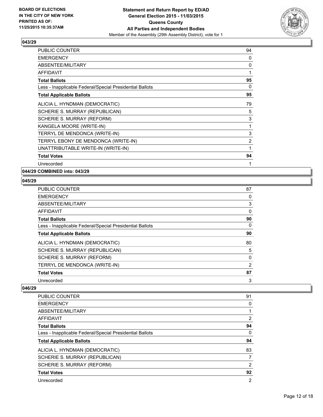

| <b>PUBLIC COUNTER</b>                                    | 94             |
|----------------------------------------------------------|----------------|
| <b>EMERGENCY</b>                                         | 0              |
| ABSENTEE/MILITARY                                        | 0              |
| <b>AFFIDAVIT</b>                                         | 1              |
| <b>Total Ballots</b>                                     | 95             |
| Less - Inapplicable Federal/Special Presidential Ballots | 0              |
| <b>Total Applicable Ballots</b>                          | 95             |
| ALICIA L. HYNDMAN (DEMOCRATIC)                           | 79             |
| SCHERIE S. MURRAY (REPUBLICAN)                           | 5              |
| SCHERIE S. MURRAY (REFORM)                               | 3              |
| KANGELA MOORE (WRITE-IN)                                 | 1              |
| TERRYL DE MENDONCA (WRITE-IN)                            | 3              |
| TERRYL EBONY DE MENDONCA (WRITE-IN)                      | $\overline{2}$ |
| UNATTRIBUTABLE WRITE-IN (WRITE-IN)                       | 1              |
| <b>Total Votes</b>                                       | 94             |
| Unrecorded                                               | 1              |

## **044/29 COMBINED into: 043/29**

## **045/29**

| <b>PUBLIC COUNTER</b>                                    | 87             |
|----------------------------------------------------------|----------------|
| <b>EMERGENCY</b>                                         | 0              |
| ABSENTEE/MILITARY                                        | 3              |
| <b>AFFIDAVIT</b>                                         | 0              |
| <b>Total Ballots</b>                                     | 90             |
| Less - Inapplicable Federal/Special Presidential Ballots | 0              |
| <b>Total Applicable Ballots</b>                          | 90             |
| ALICIA L. HYNDMAN (DEMOCRATIC)                           | 80             |
| SCHERIE S. MURRAY (REPUBLICAN)                           | 5              |
| SCHERIE S. MURRAY (REFORM)                               | 0              |
| TERRYL DE MENDONCA (WRITE-IN)                            | $\overline{2}$ |
| <b>Total Votes</b>                                       | 87             |
| Unrecorded                                               | 3              |

| <b>PUBLIC COUNTER</b>                                    | 91 |
|----------------------------------------------------------|----|
| <b>EMERGENCY</b>                                         | 0  |
| ABSENTEE/MILITARY                                        |    |
| <b>AFFIDAVIT</b>                                         | 2  |
| <b>Total Ballots</b>                                     | 94 |
| Less - Inapplicable Federal/Special Presidential Ballots | 0  |
| <b>Total Applicable Ballots</b>                          | 94 |
| ALICIA L. HYNDMAN (DEMOCRATIC)                           | 83 |
| SCHERIE S. MURRAY (REPUBLICAN)                           | 7  |
| SCHERIE S. MURRAY (REFORM)                               | 2  |
| <b>Total Votes</b>                                       | 92 |
| Unrecorded                                               | 2  |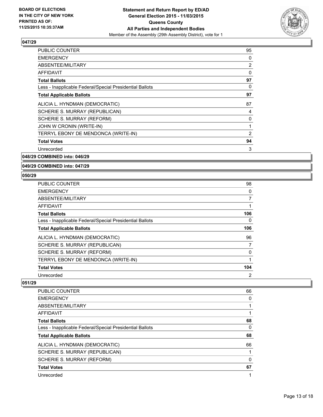

| <b>PUBLIC COUNTER</b>                                    | 95             |
|----------------------------------------------------------|----------------|
| <b>EMERGENCY</b>                                         | 0              |
| <b>ABSENTEE/MILITARY</b>                                 | $\overline{2}$ |
| <b>AFFIDAVIT</b>                                         | 0              |
| <b>Total Ballots</b>                                     | 97             |
| Less - Inapplicable Federal/Special Presidential Ballots | 0              |
| <b>Total Applicable Ballots</b>                          | 97             |
| ALICIA L. HYNDMAN (DEMOCRATIC)                           | 87             |
| SCHERIE S. MURRAY (REPUBLICAN)                           | 4              |
| SCHERIE S. MURRAY (REFORM)                               | 0              |
| JOHN W CRONIN (WRITE-IN)                                 |                |
| TERRYL EBONY DE MENDONCA (WRITE-IN)                      | $\overline{2}$ |
| <b>Total Votes</b>                                       | 94             |
| Unrecorded                                               | 3              |
|                                                          |                |

**048/29 COMBINED into: 046/29**

**049/29 COMBINED into: 047/29**

#### **050/29**

| <b>PUBLIC COUNTER</b>                                    | 98             |
|----------------------------------------------------------|----------------|
| <b>EMERGENCY</b>                                         | 0              |
| ABSENTEE/MILITARY                                        | $\overline{7}$ |
| <b>AFFIDAVIT</b>                                         |                |
| <b>Total Ballots</b>                                     | 106            |
| Less - Inapplicable Federal/Special Presidential Ballots | 0              |
| <b>Total Applicable Ballots</b>                          | 106            |
| ALICIA L. HYNDMAN (DEMOCRATIC)                           | 96             |
| SCHERIE S. MURRAY (REPUBLICAN)                           | $\overline{7}$ |
| SCHERIE S. MURRAY (REFORM)                               | 0              |
| TERRYL EBONY DE MENDONCA (WRITE-IN)                      | 1              |
| <b>Total Votes</b>                                       | 104            |
| Unrecorded                                               | 2              |

| 66 |
|----|
| 0  |
|    |
|    |
| 68 |
| 0  |
| 68 |
| 66 |
|    |
| 0  |
| 67 |
|    |
|    |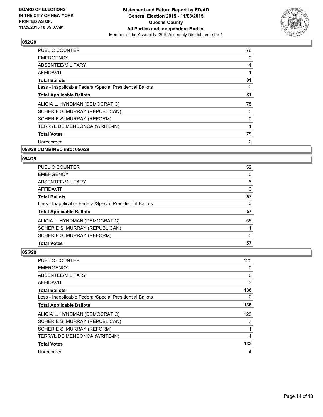

| PUBLIC COUNTER                                           | 76 |
|----------------------------------------------------------|----|
| <b>EMERGENCY</b>                                         | 0  |
| ABSENTEE/MILITARY                                        | 4  |
| <b>AFFIDAVIT</b>                                         |    |
| <b>Total Ballots</b>                                     | 81 |
| Less - Inapplicable Federal/Special Presidential Ballots | 0  |
| <b>Total Applicable Ballots</b>                          | 81 |
| ALICIA L. HYNDMAN (DEMOCRATIC)                           | 78 |
| SCHERIE S. MURRAY (REPUBLICAN)                           | 0  |
| SCHERIE S. MURRAY (REFORM)                               | 0  |
| TERRYL DE MENDONCA (WRITE-IN)                            | 1  |
| <b>Total Votes</b>                                       | 79 |
| Unrecorded                                               | 2  |
|                                                          |    |

#### **053/29 COMBINED into: 050/29**

#### **054/29**

| PUBLIC COUNTER                                           | 52       |
|----------------------------------------------------------|----------|
| <b>EMERGENCY</b>                                         | 0        |
| ABSENTEE/MILITARY                                        | 5        |
| AFFIDAVIT                                                | $\Omega$ |
| <b>Total Ballots</b>                                     | 57       |
| Less - Inapplicable Federal/Special Presidential Ballots | 0        |
| <b>Total Applicable Ballots</b>                          | 57       |
| ALICIA L. HYNDMAN (DEMOCRATIC)                           | 56       |
| SCHERIE S. MURRAY (REPUBLICAN)                           |          |
| SCHERIE S. MURRAY (REFORM)                               | 0        |
| <b>Total Votes</b>                                       | 57       |

| PUBLIC COUNTER                                           | 125 |
|----------------------------------------------------------|-----|
| <b>EMERGENCY</b>                                         | 0   |
| ABSENTEE/MILITARY                                        | 8   |
| <b>AFFIDAVIT</b>                                         | 3   |
| <b>Total Ballots</b>                                     | 136 |
| Less - Inapplicable Federal/Special Presidential Ballots | 0   |
| <b>Total Applicable Ballots</b>                          | 136 |
| ALICIA L. HYNDMAN (DEMOCRATIC)                           | 120 |
| SCHERIE S. MURRAY (REPUBLICAN)                           | 7   |
| SCHERIE S. MURRAY (REFORM)                               |     |
| TERRYL DE MENDONCA (WRITE-IN)                            | 4   |
| <b>Total Votes</b>                                       | 132 |
| Unrecorded                                               | 4   |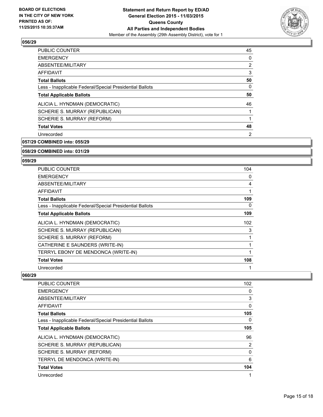

| <b>PUBLIC COUNTER</b>                                    | 45 |
|----------------------------------------------------------|----|
| <b>EMERGENCY</b>                                         | 0  |
| ABSENTEE/MILITARY                                        | 2  |
| <b>AFFIDAVIT</b>                                         | 3  |
| <b>Total Ballots</b>                                     | 50 |
| Less - Inapplicable Federal/Special Presidential Ballots | 0  |
| <b>Total Applicable Ballots</b>                          | 50 |
| ALICIA L. HYNDMAN (DEMOCRATIC)                           | 46 |
| SCHERIE S. MURRAY (REPUBLICAN)                           |    |
| SCHERIE S. MURRAY (REFORM)                               |    |
| <b>Total Votes</b>                                       | 48 |
| Unrecorded                                               | 2  |
|                                                          |    |

**057/29 COMBINED into: 055/29**

#### **058/29 COMBINED into: 031/29**

## **059/29**

| <b>PUBLIC COUNTER</b>                                    | 104 |
|----------------------------------------------------------|-----|
| <b>EMERGENCY</b>                                         | 0   |
| ABSENTEE/MILITARY                                        | 4   |
| AFFIDAVIT                                                |     |
| <b>Total Ballots</b>                                     | 109 |
| Less - Inapplicable Federal/Special Presidential Ballots | 0   |
| <b>Total Applicable Ballots</b>                          | 109 |
| ALICIA L. HYNDMAN (DEMOCRATIC)                           | 102 |
| SCHERIE S. MURRAY (REPUBLICAN)                           | 3   |
| SCHERIE S. MURRAY (REFORM)                               |     |
| CATHERINE E SAUNDERS (WRITE-IN)                          | 1   |
| TERRYL EBONY DE MENDONCA (WRITE-IN)                      |     |
| <b>Total Votes</b>                                       | 108 |
| Unrecorded                                               | 1   |

| PUBLIC COUNTER                                           | 102 |
|----------------------------------------------------------|-----|
| <b>EMERGENCY</b>                                         | 0   |
| ABSENTEE/MILITARY                                        | 3   |
| AFFIDAVIT                                                | 0   |
| <b>Total Ballots</b>                                     | 105 |
| Less - Inapplicable Federal/Special Presidential Ballots | 0   |
| <b>Total Applicable Ballots</b>                          | 105 |
| ALICIA L. HYNDMAN (DEMOCRATIC)                           | 96  |
| SCHERIE S. MURRAY (REPUBLICAN)                           | 2   |
| SCHERIE S. MURRAY (REFORM)                               | 0   |
| TERRYL DE MENDONCA (WRITE-IN)                            | 6   |
| <b>Total Votes</b>                                       | 104 |
| Unrecorded                                               | 1   |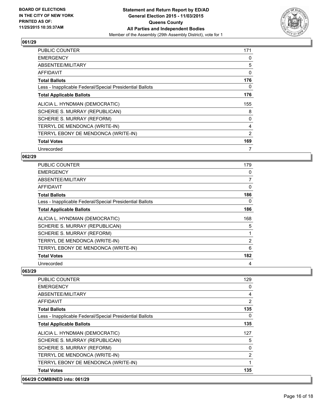

| <b>PUBLIC COUNTER</b>                                    | 171 |
|----------------------------------------------------------|-----|
| <b>EMERGENCY</b>                                         | 0   |
| ABSENTEE/MILITARY                                        | 5   |
| <b>AFFIDAVIT</b>                                         | 0   |
| <b>Total Ballots</b>                                     | 176 |
| Less - Inapplicable Federal/Special Presidential Ballots | 0   |
| <b>Total Applicable Ballots</b>                          | 176 |
| ALICIA L. HYNDMAN (DEMOCRATIC)                           | 155 |
| SCHERIE S. MURRAY (REPUBLICAN)                           | 8   |
| SCHERIE S. MURRAY (REFORM)                               | 0   |
| TERRYL DE MENDONCA (WRITE-IN)                            | 4   |
| TERRYL EBONY DE MENDONCA (WRITE-IN)                      | 2   |
| <b>Total Votes</b>                                       | 169 |
| Unrecorded                                               | 7   |

## **062/29**

| <b>PUBLIC COUNTER</b>                                    | 179            |
|----------------------------------------------------------|----------------|
| <b>EMERGENCY</b>                                         | 0              |
| ABSENTEE/MILITARY                                        | $\overline{7}$ |
| AFFIDAVIT                                                | 0              |
| <b>Total Ballots</b>                                     | 186            |
| Less - Inapplicable Federal/Special Presidential Ballots | 0              |
| <b>Total Applicable Ballots</b>                          | 186            |
| ALICIA L. HYNDMAN (DEMOCRATIC)                           | 168            |
| SCHERIE S. MURRAY (REPUBLICAN)                           | 5              |
| SCHERIE S. MURRAY (REFORM)                               |                |
| TERRYL DE MENDONCA (WRITE-IN)                            | $\overline{2}$ |
| TERRYL EBONY DE MENDONCA (WRITE-IN)                      | 6              |
| <b>Total Votes</b>                                       | 182            |
| Unrecorded                                               | 4              |

| <b>PUBLIC COUNTER</b>                                    | 129          |
|----------------------------------------------------------|--------------|
| <b>EMERGENCY</b>                                         | 0            |
| ABSENTEE/MILITARY                                        | 4            |
| <b>AFFIDAVIT</b>                                         | 2            |
| <b>Total Ballots</b>                                     | 135          |
| Less - Inapplicable Federal/Special Presidential Ballots | $\mathbf{0}$ |
| <b>Total Applicable Ballots</b>                          | 135          |
| ALICIA L. HYNDMAN (DEMOCRATIC)                           | 127          |
| SCHERIE S. MURRAY (REPUBLICAN)                           | 5            |
| SCHERIE S. MURRAY (REFORM)                               | $\mathbf{0}$ |
| TERRYL DE MENDONCA (WRITE-IN)                            | 2            |
| TERRYL EBONY DE MENDONCA (WRITE-IN)                      |              |
| <b>Total Votes</b>                                       | 135          |
| 064/29 COMBINED into: 061/29                             |              |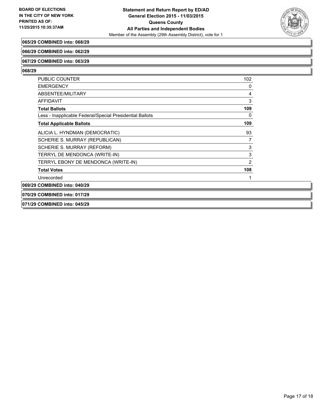

## **065/29 COMBINED into: 068/29**

#### **066/29 COMBINED into: 062/29**

#### **067/29 COMBINED into: 063/29**

**068/29** 

| <b>PUBLIC COUNTER</b>                                    | 102                       |
|----------------------------------------------------------|---------------------------|
| <b>EMERGENCY</b>                                         | 0                         |
| ABSENTEE/MILITARY                                        | 4                         |
| <b>AFFIDAVIT</b>                                         | 3                         |
| <b>Total Ballots</b>                                     | 109                       |
| Less - Inapplicable Federal/Special Presidential Ballots | 0                         |
| <b>Total Applicable Ballots</b>                          | 109                       |
| ALICIA L. HYNDMAN (DEMOCRATIC)                           | 93                        |
| SCHERIE S. MURRAY (REPUBLICAN)                           | 7                         |
| SCHERIE S. MURRAY (REFORM)                               | $\ensuremath{\mathsf{3}}$ |
| TERRYL DE MENDONCA (WRITE-IN)                            | $\mathsf 3$               |
| TERRYL EBONY DE MENDONCA (WRITE-IN)                      | $\overline{2}$            |
| <b>Total Votes</b>                                       | 108                       |
| Unrecorded                                               | 1                         |
| 069/29 COMBINED into: 040/29                             |                           |
| 070/29 COMBINED into: 017/29                             |                           |

**071/29 COMBINED into: 045/29**